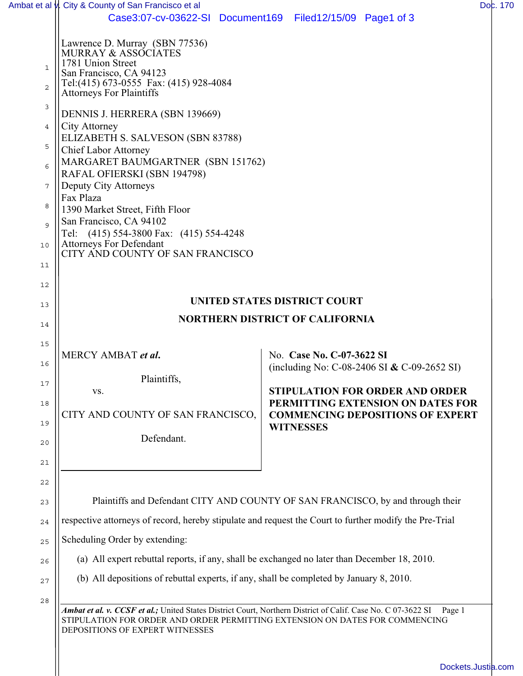| Case3:07-cv-03622-SI Document169 Filed12/15/09 Page1 of 3<br>Lawrence D. Murray (SBN 77536)<br>MURRAY & ASSOCIATES<br>1781 Union Street<br>San Francisco, CA 94123                           |                                                                                                                                                                                                                                                                                                                                                                                                                                   |
|----------------------------------------------------------------------------------------------------------------------------------------------------------------------------------------------|-----------------------------------------------------------------------------------------------------------------------------------------------------------------------------------------------------------------------------------------------------------------------------------------------------------------------------------------------------------------------------------------------------------------------------------|
|                                                                                                                                                                                              |                                                                                                                                                                                                                                                                                                                                                                                                                                   |
|                                                                                                                                                                                              |                                                                                                                                                                                                                                                                                                                                                                                                                                   |
|                                                                                                                                                                                              |                                                                                                                                                                                                                                                                                                                                                                                                                                   |
| Tel:(415) 673-0555 Fax: (415) 928-4084<br><b>Attorneys For Plaintiffs</b>                                                                                                                    |                                                                                                                                                                                                                                                                                                                                                                                                                                   |
|                                                                                                                                                                                              |                                                                                                                                                                                                                                                                                                                                                                                                                                   |
| DENNIS J. HERRERA (SBN 139669)<br><b>City Attorney</b>                                                                                                                                       |                                                                                                                                                                                                                                                                                                                                                                                                                                   |
|                                                                                                                                                                                              |                                                                                                                                                                                                                                                                                                                                                                                                                                   |
| MARGARET BAUMGARTNER (SBN 151762)                                                                                                                                                            |                                                                                                                                                                                                                                                                                                                                                                                                                                   |
| Deputy City Attorneys                                                                                                                                                                        |                                                                                                                                                                                                                                                                                                                                                                                                                                   |
| Fax Plaza                                                                                                                                                                                    |                                                                                                                                                                                                                                                                                                                                                                                                                                   |
| San Francisco, CA 94102                                                                                                                                                                      |                                                                                                                                                                                                                                                                                                                                                                                                                                   |
| Tel: (415) 554-3800 Fax: (415) 554-4248                                                                                                                                                      |                                                                                                                                                                                                                                                                                                                                                                                                                                   |
| CITY AND COUNTY OF SAN FRANCISCO                                                                                                                                                             |                                                                                                                                                                                                                                                                                                                                                                                                                                   |
|                                                                                                                                                                                              |                                                                                                                                                                                                                                                                                                                                                                                                                                   |
|                                                                                                                                                                                              | UNITED STATES DISTRICT COURT                                                                                                                                                                                                                                                                                                                                                                                                      |
|                                                                                                                                                                                              | <b>NORTHERN DISTRICT OF CALIFORNIA</b>                                                                                                                                                                                                                                                                                                                                                                                            |
|                                                                                                                                                                                              |                                                                                                                                                                                                                                                                                                                                                                                                                                   |
| MERCY AMBAT et al.                                                                                                                                                                           | No. Case No. C-07-3622 SI                                                                                                                                                                                                                                                                                                                                                                                                         |
|                                                                                                                                                                                              | (including No: C-08-2406 SI & C-09-2652 SI)                                                                                                                                                                                                                                                                                                                                                                                       |
| VS.                                                                                                                                                                                          | <b>STIPULATION FOR ORDER AND ORDER</b>                                                                                                                                                                                                                                                                                                                                                                                            |
|                                                                                                                                                                                              | PERMITTING EXTENSION ON DATES FOR<br><b>COMMENCING DEPOSITIONS OF EXPERT</b>                                                                                                                                                                                                                                                                                                                                                      |
|                                                                                                                                                                                              | <b>WITNESSES</b>                                                                                                                                                                                                                                                                                                                                                                                                                  |
|                                                                                                                                                                                              |                                                                                                                                                                                                                                                                                                                                                                                                                                   |
|                                                                                                                                                                                              |                                                                                                                                                                                                                                                                                                                                                                                                                                   |
|                                                                                                                                                                                              |                                                                                                                                                                                                                                                                                                                                                                                                                                   |
| Plaintiffs and Defendant CITY AND COUNTY OF SAN FRANCISCO, by and through their                                                                                                              |                                                                                                                                                                                                                                                                                                                                                                                                                                   |
| respective attorneys of record, hereby stipulate and request the Court to further modify the Pre-Trial                                                                                       |                                                                                                                                                                                                                                                                                                                                                                                                                                   |
| Scheduling Order by extending:                                                                                                                                                               |                                                                                                                                                                                                                                                                                                                                                                                                                                   |
|                                                                                                                                                                                              |                                                                                                                                                                                                                                                                                                                                                                                                                                   |
|                                                                                                                                                                                              |                                                                                                                                                                                                                                                                                                                                                                                                                                   |
| Ambat et al. v. CCSF et al.; United States District Court, Northern District of Calif. Case No. C 07-3622 SI<br>STIPULATION FOR ORDER AND ORDER PERMITTING EXTENSION ON DATES FOR COMMENCING | Page 1                                                                                                                                                                                                                                                                                                                                                                                                                            |
| DEPOSITIONS OF EXPERT WITNESSES                                                                                                                                                              |                                                                                                                                                                                                                                                                                                                                                                                                                                   |
|                                                                                                                                                                                              | ELIZABETH S. SALVESON (SBN 83788)<br><b>Chief Labor Attorney</b><br>RAFAL OFIERSKI (SBN 194798)<br>1390 Market Street, Fifth Floor<br><b>Attorneys For Defendant</b><br>Plaintiffs,<br>CITY AND COUNTY OF SAN FRANCISCO,<br>Defendant.<br>(a) All expert rebuttal reports, if any, shall be exchanged no later than December 18, 2010.<br>(b) All depositions of rebuttal experts, if any, shall be completed by January 8, 2010. |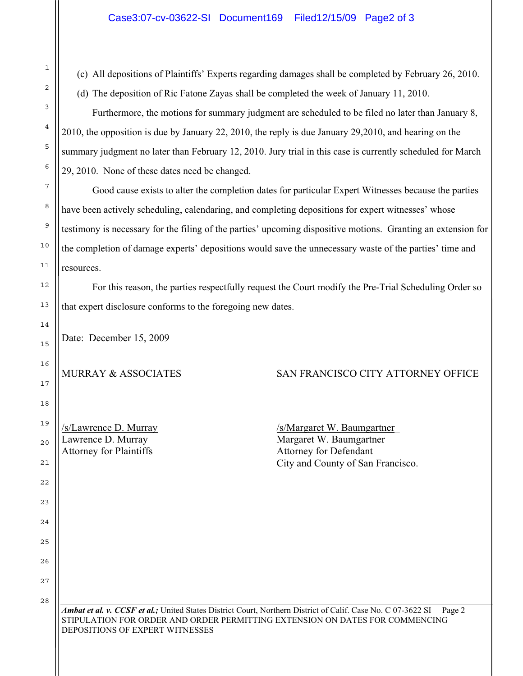| T  | (c) All depositions of Plaintiffs' Experts regarding damages shall be completed by February 26, 2010.                  |  |
|----|------------------------------------------------------------------------------------------------------------------------|--|
| 2  | (d) The deposition of Ric Fatone Zayas shall be completed the week of January 11, 2010.                                |  |
| 3  | Furthermore, the motions for summary judgment are scheduled to be filed no later than January 8,                       |  |
| 4  | 2010, the opposition is due by January 22, 2010, the reply is due January 29, 2010, and hearing on the                 |  |
| 5  | summary judgment no later than February 12, 2010. Jury trial in this case is currently scheduled for March             |  |
| 6  | 29, 2010. None of these dates need be changed.                                                                         |  |
| 7  | Good cause exists to alter the completion dates for particular Expert Witnesses because the parties                    |  |
| 8  | have been actively scheduling, calendaring, and completing depositions for expert witnesses' whose                     |  |
| 9  | testimony is necessary for the filing of the parties' upcoming dispositive motions. Granting an extension for          |  |
| 10 | the completion of damage experts' depositions would save the unnecessary waste of the parties' time and                |  |
| 11 | resources.                                                                                                             |  |
| 12 | For this reason, the parties respectfully request the Court modify the Pre-Trial Scheduling Order so                   |  |
| 13 | that expert disclosure conforms to the foregoing new dates.                                                            |  |
| 14 | Date: December 15, 2009                                                                                                |  |
| 15 |                                                                                                                        |  |
| 16 | MURRAY & ASSOCIATES<br>SAN FRANCISCO CITY ATTORNEY OFFICE                                                              |  |
| 17 |                                                                                                                        |  |
| 18 |                                                                                                                        |  |
| 19 | /s/Lawrence D. Murray<br>/s/Margaret W. Baumgartner                                                                    |  |
| 20 | Lawrence D. Murray<br>Margaret W. Baumgartner<br>Attorney for Plaintiffs<br>Attorney for Defendant                     |  |
| 21 | City and County of San Francisco.                                                                                      |  |
| 22 |                                                                                                                        |  |
| 23 |                                                                                                                        |  |
| 24 |                                                                                                                        |  |
| 25 |                                                                                                                        |  |
| 26 |                                                                                                                        |  |
| 27 |                                                                                                                        |  |
| 28 | Ambat et al. v. CCSF et al.; United States District Court, Northern District of Calif. Case No. C 07-3622 SI<br>Page 2 |  |
|    | STIPULATION FOR ORDER AND ORDER PERMITTING EXTENSION ON DATES FOR COMMENCING<br>DEPOSITIONS OF EXPERT WITNESSES        |  |